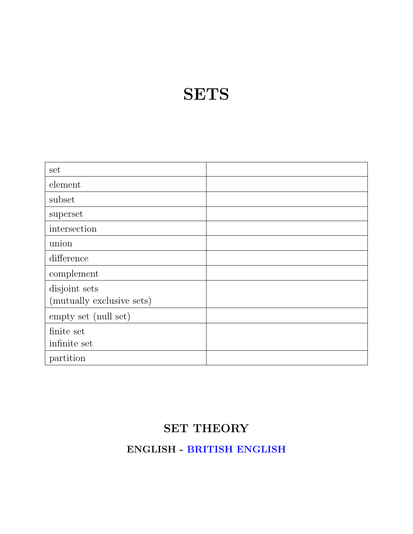### **SETS**

| set                       |  |
|---------------------------|--|
| element                   |  |
| subset                    |  |
| superset                  |  |
| intersection              |  |
| union                     |  |
| difference                |  |
| complement                |  |
| disjoint sets             |  |
| (mutually exclusive sets) |  |
| empty set (null set)      |  |
| finite set                |  |
| infinite set              |  |
| partition                 |  |

#### SET THEORY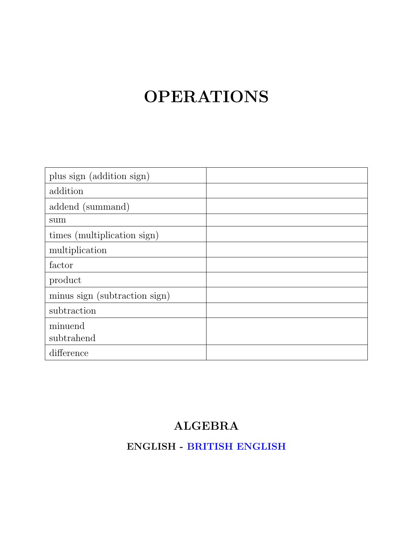### OPERATIONS

| plus sign (addition sign)     |  |
|-------------------------------|--|
| addition                      |  |
| addend (summand)              |  |
| sum                           |  |
| times (multiplication sign)   |  |
| multiplication                |  |
| factor                        |  |
| product                       |  |
| minus sign (subtraction sign) |  |
| subtraction                   |  |
| minuend                       |  |
| subtrahend                    |  |
| difference                    |  |

### ALGEBRA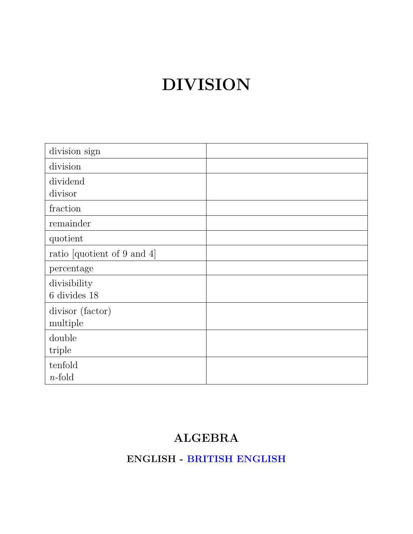## DIVISION

| division sign               |  |
|-----------------------------|--|
| division                    |  |
| dividend                    |  |
| divisor                     |  |
| fraction                    |  |
| remainder                   |  |
| quotient                    |  |
| ratio [quotient of 9 and 4] |  |
| percentage                  |  |
| divisibility                |  |
| $6$ divides $18$            |  |
| divisor (factor)            |  |
| multiple                    |  |
| double                      |  |
| triple                      |  |
| tenfold                     |  |
| $n$ -fold                   |  |

### ALGEBRA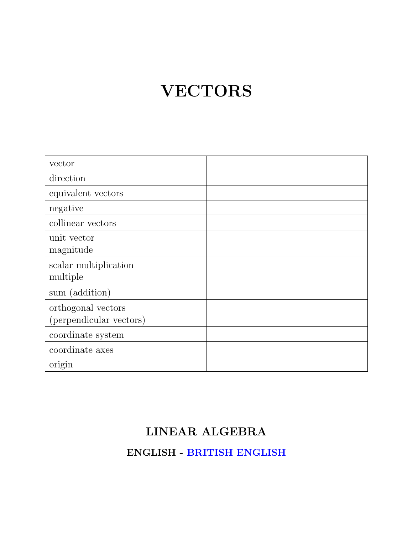## VECTORS

| vector                                        |  |
|-----------------------------------------------|--|
| direction                                     |  |
| equivalent vectors                            |  |
| negative                                      |  |
| collinear vectors                             |  |
| unit vector<br>magnitude                      |  |
| scalar multiplication<br>multiple             |  |
| sum (addition)                                |  |
| orthogonal vectors<br>(perpendicular vectors) |  |
| coordinate system                             |  |
| coordinate axes                               |  |
| origin                                        |  |

### LINEAR ALGEBRA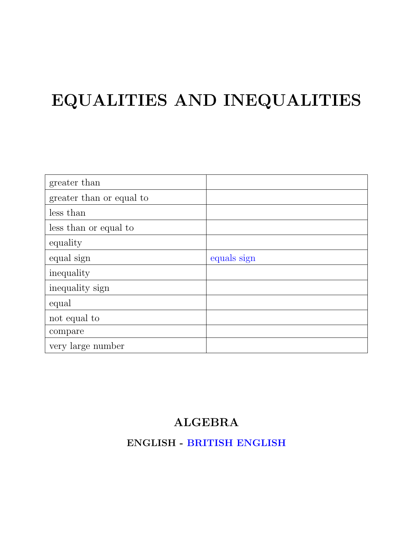# EQUALITIES AND INEQUALITIES

| greater than             |             |
|--------------------------|-------------|
| greater than or equal to |             |
| less than                |             |
| less than or equal to    |             |
| equality                 |             |
| equal sign               | equals sign |
| inequality               |             |
| inequality sign          |             |
| equal                    |             |
| not equal to             |             |
| compare                  |             |
| very large number        |             |

#### ALGEBRA